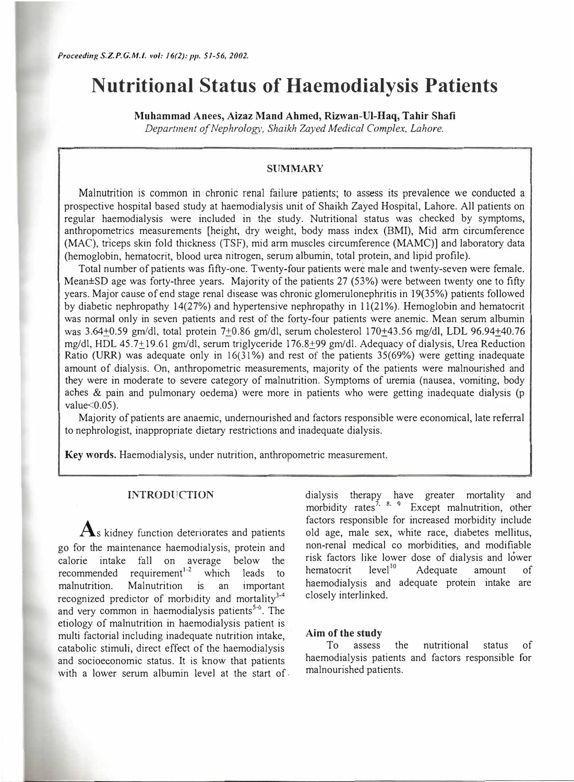# **Nutritional Status of Haemodialysis Patients**

**Muhammad Anees, Aizaz Mand Ahmed, Rizwan-Ul-Haq, Tahir Shafi**  *Department of Nephrology, Shaikh Zayed Medical Complex, Lahore.* 

#### **SUMMARY**

Malnutrition is common in· chronic renal failure patients; to assess its prevalence we conducted a prospective hospital based study at haemodialysis unit of Shaikh Zayed Hospital, Lahore. All patients on regular haemodialysis were included in the study. Nutritional status was checked by symptoms, anthropometrics measurements [height, dry weight, body mass index (BMI), Mid arm circumference (MAC), triceps skin fold thickness (TSF), mid arm muscles circumference (MAMC)] and laboratory data (hemoglobin, hematocrit, blood urea nitrogen, seru� albumin, total protein, and lipid profile).

Total number of patients was fifty-one. Twenty-four patients were male and twenty-seven were female. Mean±SD age was forty-three years. Majority of the patients 27 (53%) were between twenty one to fifty years. Major cause of end stage renal disease was chronic glomerulonephritis in 19(35%) patients followed by diabetic nephropathy 14(27%) and hypertensive nephropathy in 11(21%). Hemoglobin and hematocrit was normal only in seven patients and rest of the forty-four patients were anemic. Mean serum albumin was 3.64±0.59 gm/di, total protein 7±0.86 gm/di, serum cholesterol 170±43.56 mg/di, LDL 96.94±40.76 mg/di, HDL 45.7±19.61 gm/di, serum triglyceride 176.8±99 gm/di. Adequacy of dialysis, Urea Reduction Ratio (URR) was adequate only in 16(31%) and rest of the patients 35(69%) were getting inadequate amount of dialysis. On, anthropometric measurements, majority of the patients were malnourished and they were in moderate to severe category of malnutrition. Symptoms of uremia (nausea, vomiting, body aches & pain and pulmonary oedema) were more in patients who were getting inadequate dialysis (p value $<0.05$ ).

Majority of patients are anaemic, undernourished and factors responsible were economical, late referral to nephrologist, inappropriate dietary restrictions and inadequate dialysis.

Key **words.** Haemodialysis, under nutrition, anthropometric measurement.

## **INTRODUCTION**

 $\mathbf A$ s kidney function deteriorates and patients go for the maintenance haemodialysis, protein and calorie intake fall on average below the<br>recommended requirement<sup>1-2</sup> which leads to recommended requirement<sup>1-2</sup> which leads to malnutrition. Malnutrition is an important recognized predictor of morbidity and mortality<sup>3,4</sup> and very common in haemodialysis patients<sup>5-6</sup>. The etiology of malnutrition in haemodialysis patient is multi factorial including inadequate nutrition intake, catabolic stimuli, direct effect of the haemodialysis and socioeconomic status. It is know that patients with a lower serum albumin level at the start of. dialysis therapy have greater mortality and morbidity rates<sup>7, 8, 9</sup> Except malnutrition, other factors responsible for increased morbidity include old age, male sex, white race, diabetes mellitus, non-renal medical co morbidities, and modifiable risk factors like lower dose of dialysis and lower hematocrit level<sup>10</sup> Adequate amount of haemodialysis and adequate protein intake are closely interlinked.

#### **Aim** of the study

To assess the nutritional status of haemodialysis patients and factors responsible for malnourished patients.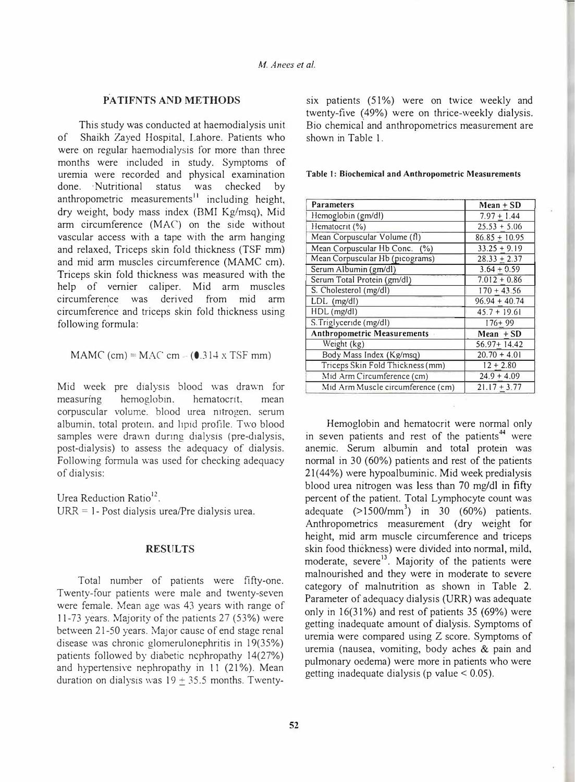## **P.A TIFNTS AND METHODS**

This study was conducted at haemodialysis unit of Shaikh Zayed Hospital, Lahore. Patients who were on regular haemodialysis for more than three months were included in study. Symptoms of uremia were recorded and physical examination done. · Nutritional status was checked by anthropometric measurements<sup>11</sup> including height, dry weight, body mass index (BMJ Kg/msq), Mid arm circumference (MAC') on the side without vascular access with a tape with the arm hanging and relaxed, Triceps skin fold thickness (TSF mm) and mid arm muscles circumference (MAMC cm). Triceps skin fold thickness was measured with the help of vernier caliper. Mid arm muscles circumference was derived from mid arm circumference and triceps skin fold thickness using following formula:

## MAMC (cm) = MAC cm  $-$  (0.314 x TSF mm)

Mid week pre dialysis blood was drawn for measuring hemoglobin. hematocrit. mean corpuscular volume. blood urea nitrogen. serum albumin, total protein, and lipid profile. Two blood samples were drawn during dialysis (pre-dialysis, post-dialysis) to assess the adequacy of dialysis. Following formula was used for checking adequacy of dialysis:

Urea Reduction Ratio<sup>12</sup>.

URR = 1- Post dialysis urea/Pre dialysis urea.

## **RESULTS**

Total number of patients were fifty-one. Twenty-four patients were male and twenty-seven were female. Mean age was 43 years with range of 11-73 years. Majority of the patients 27 (53%) were between 21-50 years. Major cause of end stage renal disease was chronic glomerulonephritis in 19(35%) patients followed by diabetic nephropathy 14(27%) and hypertensive nephropathy in 11 (21%). Mean duration on dialysis was  $19 + 35.5$  months. Twentysix patients (51%) were on twice weekly and twenty-five (49%) were on thrice-weekly dialysis. Bio chemical and anthropometrics measurement are shown in Table 1.

|  |  | Table 1: Biochemical and Anthropometric Measurements |  |
|--|--|------------------------------------------------------|--|
|--|--|------------------------------------------------------|--|

| <b>Parameters</b>                  | $Mean + SD$     |
|------------------------------------|-----------------|
| Hemoglobin (gm/dl)                 | $7.97 + 1.44$   |
| Hematocrit (%)                     | $25.53 + 5.06$  |
| Mean Corpuscular Volume (fl)       | $86.85 + 10.95$ |
| Mean Corpuscular Hb Conc. (%)      | $33.25 + 9.19$  |
| Mean Corpuscular Hb (picograms)    | $28.33 + 2.37$  |
| Serum Albumin (gm/dl)              | $3.64 + 0.59$   |
| Serum Total Protein (gm/dl)        | $7.012 + 0.86$  |
| S. Cholesterol (mg/dl)             | $170 + 43.56$   |
| LDL (mg/dl)                        | $96.94 + 40.74$ |
| HDL (mg/dl)                        | $45.7 + 19.61$  |
| S. Triglyceride (mg/dl)            | $176 + 99$      |
| <b>Anthropometric Measurements</b> | $Mean + SD$     |
| Weight (kg)                        | $56.97 + 14.42$ |
| Body Mass Index (Kg/msq)           | $20.70 + 4.01$  |
| Triceps Skin Fold Thickness (mm)   | $12 + 2.80$     |
| Mid Arm Circumference (cm)         | $24.9 + 4.09$   |
| Mid Arm Muscle circumference (cm)  | $21.17 + 3.77$  |

Hemoglobin and hematocrit were normal only in seven patients and rest of the patients<sup>44</sup> were anemic. Serum albumin and total protein was normal in 30 (60%) patients and rest of the patients  $21(44%)$  were hypoalbuminic. Mid week predialysis blood urea nitrogen was less than 70 mg/di in fifty percent of the patient. Total Lymphocyte count was adequate  $(>1500/mm^3)$  in 30 (60%) patients. Anthropometrics measurement (dry weight for height, mid arm muscle circumference and triceps skin food thickness) were divided into normal, mild, moderate, severe<sup>13</sup>. Majority of the patients were malnourished and they were in moderate to severe category of malnutrition as shown in Table 2. Parameter of adequacy dialysis (URR) was adequate only in 16(31%) and rest of patients 35 (69%) were getting inadequate amount of dialysis. Symptoms of uremia were compared using Z score. Symptoms of uremia (nausea, vomiting, body aches & pain and pulmonary oedema) were more in patients who were getting inadequate dialysis ( $p$  value  $< 0.05$ ).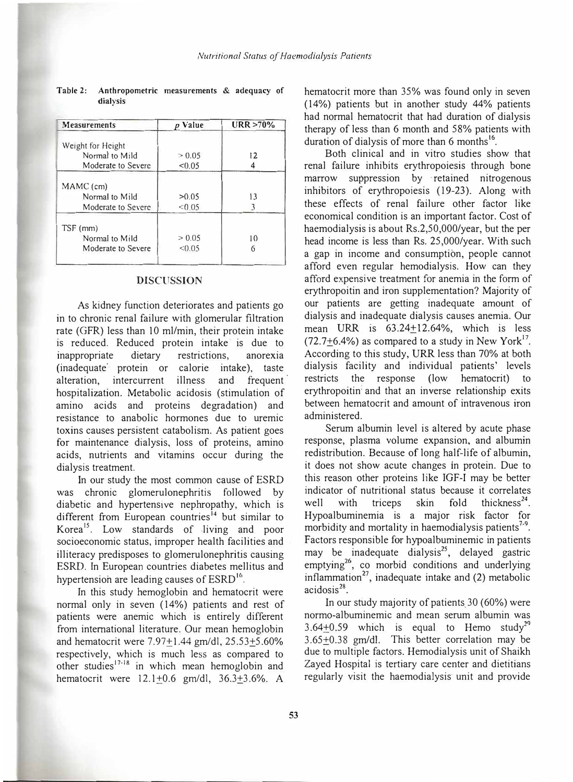| <b>Measurements</b> | p Value | $URR > 70\%$ |
|---------------------|---------|--------------|
|                     |         |              |
| Weight for Height   |         |              |
| Normal to Mild      | > 0.05  | 12           |
| Moderate to Severe  | < 0.05  |              |
| MAMC (cm)           |         |              |
| Normal to Mild      | >0.05   | 13           |
|                     |         |              |
| Moderate to Severe  | < 0.05  | 3            |
| TSF (mm)            |         |              |
| Normal to Mild      | > 0.05  | 10           |
| Moderate to Severe  | < 0.05  |              |
|                     |         |              |

Table 2: Anthropometric measurements & adequacy of dialysis

#### **DISCUSSION**

As kidney function deteriorates and patients go in to chronic renal failure with glomerular filtration rate (GFR) less than 10 ml/min, their protein intake is reduced. Reduced protein intake is due to inappropriate dietary restrictions, anorexia (inadequate· protein or calorie intake), taste alteration, intercurrent illness and frequent hospitalization. Metabolic acidosis (stimulation of amino acids and proteins degradation) and resistance to anabolic hormones due to uremic toxins causes persistent catabolism. As patient goes for maintenance dialysis, loss of proteins, amino acids, nutrients and vitamins occur during the dialysis treatment.

In our study the most common cause of ESRD was chronic glomerulonephritis followed by diabetic and hypertensive nephropathy, which is different from European countries<sup>14</sup> but similar to Korea<sup>15</sup>. Low standards of living and poor socioeconomic status, improper health facilities and illiteracy predisposes to glomerulonephritis causing ESRD. In European countries diabetes mellitus and hypertension are leading causes of ESRD<sup>16</sup>.

In this study hemoglobin and hematocrit were normal only in seven (14%) patients and rest of patients were anemic which is entirely different from international literature. Our mean hemoglobin and hematocrit were 7.97+1.44 gm/dl, 25.53+5.60% respectively, which is much less as compared to other studies**<sup>17</sup> - <sup>18</sup>**in which mean hemoglobin and hematocrit were 12.1+0.6 gm/dl, 36.3+3.6%. A

hematocrit more than 35% was found only in seven ( 14%) patients but in another study 44% patients had normal hematocrit that had duration of dialysis therapy of less than 6 month and 58% patients with duration of dialysis of more than 6 months<sup>16</sup>.

Both clinical and in vitro studies show that renal failure inhibits erythropoiesis through bone marrow suppression by · retained nitrogenous inhibitors of erythropoiesis ( 19-23). Along with these effects of renal failure other factor like economical condition is an important factor. Cost of haemodialysis is about Rs.2,50,000/year, but the per head income is less than Rs. 25,000/year. With such a gap in income and consumption, people cannot afford even regular hemodialysis. How can they afford expensive treatment for anemia in the form of erythropoitin and iron supplementation? Majority of our patients are getting inadequate amount of dialysis and inadequate dialysis causes anemia. Our mean URR is  $63.24+12.64\%$ , which is less  $(72.7 \pm 6.4\%)$  as compared to a study in New York<sup>17</sup>. According to this study, URR less than 70% at both dialysis facility and individual patients' levels restricts the response (low hematocrit) to erythropoitin: and that an inverse relationship exits between hematocrit and amount of intravenous iron administered.

Serum albumin level is altered by acute phase response, plasma volume expansion, and albumin redistribution. Because of long half-life of albumin, it does not show acute changes in protein. Due to this reason other proteins like JGF-1 may be better indicator of nutritional status because it correlates well with triceps skin fold thickness<sup>24</sup>. Hypoalbuminemia is a major risk factor for morbidity and mortality in haemodialysis patients<sup>7-9</sup>. Factors responsible for hypoalbuminemic in patients may be inadequate dialysis<sup>25</sup>, delayed gastric emptying<sup>26</sup>, co morbid conditions and underlying inflammation $^{27}$ , inadequate intake and (2) metabolic acidosis<sup>28</sup>.

In our study majority of patients,30 (60%) were normo-albuminemic and mean serum albumin was  $3.64+0.59$  which is equal to Hemo study<sup>29</sup> 3.65±0.38 gm/di. This better correlation may be due to multiple factors. Hemodialysis unit of Shaikh Zayed Hospital is tertiary care center and dietitians regularly visit the haemodialysis· unit and provide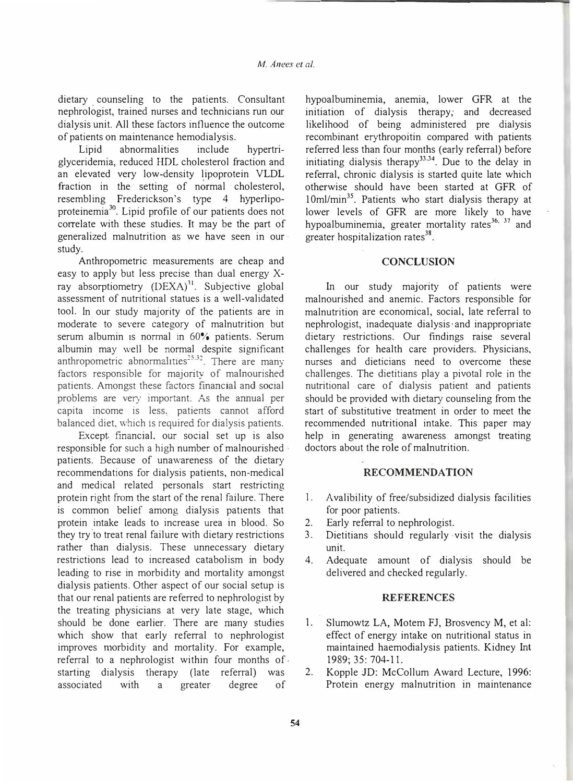dietary counseling to the patients. Consultant nephrologist, trained nurses and technicians run our dialysis unit. All these factors influence the outcome of patients on maintenance hemodialysis.

Lipid abnormalities include hypertriglyceridemia, reduced HDL cholesterol fraction and an elevated very low-density lipoprotein VLDL fraction in the setting of normal cholesterol, resembling Frederickson's type 4 hyperlipoproteinemia<sup>30</sup>. Lipid profile of our patients does not correlate with these studies. It may be the part of generalized malnutrition as we have seen in our · study.

Anthropometric measurements are cheap and easy to apply but less precise than dual energy Xray absorptiometry (DEXA)<sup>31</sup>. Subjective global assessment of nutritional statues is a well-validated tool. In our study majority of the patients are in moderate to severe category of malnutrition but serum albumin is normal in 60% patients. Serum albumin may well be normal despite significant anthropometric abnormalities<sup>25,32</sup>. There are many factors responsible for majority of malnourished patients. Amongst these factors financial and social problems are very important. As the annual per capita income is less. patients cannot afford balanced diet, which 1s required for dialysis patients.

Except. financial, our social set up is also responsible for such a high number of malnourished patients. Because of unawareness of the dietary recommendations for dialysis patients, non-medical and medical related personals start restricting protein right from the start of the renal failure. There is common belief among dialysis patients that protein intake leads to increase urea in blood. So they try to treat renal failure with dietary restrictions rather than dialysis. These unnecessary dietary restrictions lead to increased catabolism in body leading to rise in morbidity and mortality amongst dialysis patients. Other aspect of our social setup is that our renal patients are referred to nephrologist by the treating physicians at very late stage, which should be done earlier. There are many studies which show that early referral to nephrologist improves morbidity and mortality. For example, referral to a nephrologist within four months of. starting dialysis therapy (late referral) was associated with a greater degree of

hypoalbuminemia, anemia, lower GFR at the initiation of dialysis therapy; and decreased likelihood of being administered pre dialysis recombinant erythropoitin compared with patients referred less than four months (early referral) before initiating dialysis therapy<sup>33,34</sup>. Due to the delay in referral, chronic dialysis is started quite late which otherwise should have been started at GFR of 10ml/min<sup>35</sup>. Patients who start dialysis therapy at lower levels of GFR are more likely to have hypoalbuminemia, greater mortality rates<sup>36, 37</sup> and greater hospitalization rates<sup>38</sup>.

## **CONCLUSION**

In our study majority of patients were malnourished and anemic. Factors responsible for malnutrition are economical, social, late referral to nephrologist, inadequate dialysis· and inappropriate dietary restrictions. Our findings raise several challenges for health care providers. Physicians, nurses and dieticians need to overcome these challenges. The dietitians play a pivotal role in the nutritional care of dialysis patient and patients should be provided with dietary counseling from the start of substitutive treatment in order to meet the recommended nutritional intake. This paper may help in generating awareness amongst treating doctors about the role of malnutrition.

## **RECOMMENDATION**

- I. Avalibility of free/subsidized dialysis facilities for poor patients.
- 2. Early referral to nephrologist.
- 3. Dietitians should regularly · visit the dialysis unit.
- 4. Adequate amount of dialysis should be delivered and checked regularly.

## **REFERENCES**

- 1. Slumowtz LA, Motem FJ, Brosvency M, et al: effect of energy intake on nutritional status in maintained haemodialysis patients. Kidney Int 1989; 35: 704-11.
- 2. Kopple JD: McCollum Award Lecture, 1996: Protein energy malnutrition in maintenance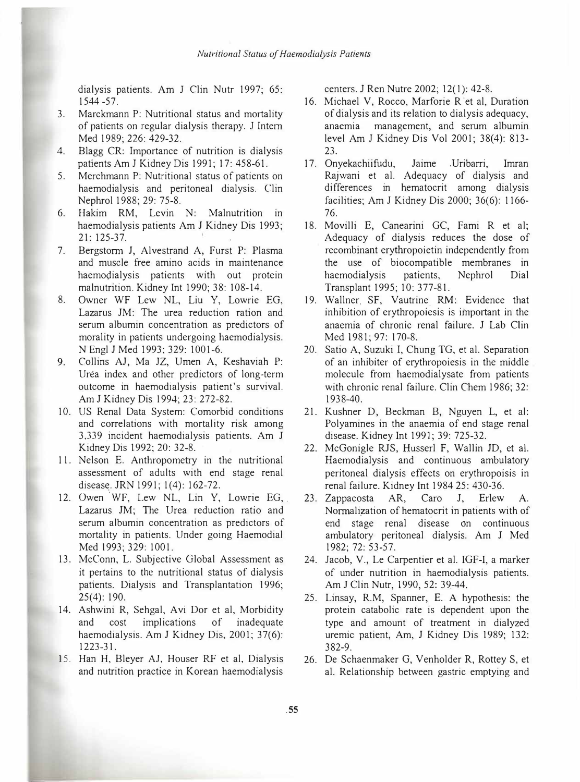dialysis patients. Am J Clin Nutr 1997; 65: 1544 -57.

- 3. Marckmann P: Nutritional status and mortality of patients on regular dialysis therapy. J Intern Med 1989; 226: 429-32.
- 4. Blagg CR: Importance of nutrition is dialysis patients Am J Kidney Dis 1991; 17: 458-61.
- 5. Merchmann P: Nutritional status of patients on haemodialysis and peritoneal dialysis. Clin Nephrol 1988; 29: 75-8.
- 6. Hakim RM, Levin N: Malnutrition in haemodialysis patients Am J Kidney Dis 1993; 21: 125-37.
- 7. Bergstorm J, Alvestrand A, Furst P: Plasma and muscle free amino acids in maintenance haemodialysis patients with out protein malnutrition. Kidney Int 1990; 38: 108-14.
- 8. Owner WF Lew NL, Liu Y, Lowrie EG, Lazarus JM: The urea reduction ration and serum albumin concentration as predictors of morality in patients undergoing haemodialysis. N Engl J Med 1993; 329: 1001-6.
- 9. Collins AJ, Ma JZ, Umen A, Keshaviah P: Urea index and other predictors of long-term outcome in haemodialysis patient's survival. Am J Kidney Dis 1994; 23: 272-82.
- 10. US Renal Data System: Comorbid conditions and correlations with mortality risk among 3,339 incident haemodialysis patients. Am J Kidney Dis 1992; 20: 32-8.
- 11. Nelson E. Anthropometry in the nutritional assessment of adults with end stage renal disease. JRN 1991; 1(4): 162-72.
- 12. Owen WF, Lew NL, Lin Y, Lowrie EG, Lazarus JM; The Urea reduction ratio and serum albumin concentration as predictors of mortality in patients. Under going Haemodial Med 1993; 329: 1001.
- 13. McConn, L. Subjective Global Assessment as it pertains to the nutritional status of dialysis patients. Dialysis and Transplantation 1996; 25(4): 190.
- 14. Ashwini R, Sehgal, Avi Dor et al, Morbidity and cost implications of inadequate haemodialysis. Am J Kidney Dis, 2001; 37(6): 1223-31.
- 15. Han H, Bleyer AJ, Houser RF et al, Dialysis and nutrition practice in Korean haemodialysis

centers. J Ren Nutre 20Q2; 12( I): 42-8.

- 16. Michael V, Rocco, Marforie R et al, Duration of dialysis and its relation to dialysis adequacy, anaemia management, and serum albumin level Am J Kidney Dis Vol 2001; 38(4): 813- 23.
- 17. Onyekachiifudu, Jaime .Uribarri, Imran Rajwani et al. Adequacy of dialysis and differences in hematocrit among dialysis facilities; Am J Kidney Dis 2000; 36(6): I 166- 76.
- 18. Movilli E, Canearini GC, Fami R et al; Adequacy of dialysis reduces the dose of recombinant erythropoietin independently from the use of biocompatible membranes in haemodialysis patients, Nephrol Dial Transplant 1995; 10: 377-81.
- 19. Wallner. SF, Vautrine. RM: Evidence that inhibition of erythropoiesis is important in the anaemia of chronic renal failure. J Lab Clin Med 1981; 97: 170-8.
- 20. Satio A, Suzuki I, Chung TG, et al. Separation of an inhibiter of erythropoiesis in the middle molecule from haemodialysate from patients with chronic renal failure. Clin Chem 1986: 32: 1938-40.
- 21. Kushner D, Beckman B, Nguyen L, et al: Polyamines in the anaemia of end stage renal disease. Kidney Int 1991; 39: 725-32.
- 22. McGonigle RJS, Husserl F, Wallin JD, et al. Haemodialysis and continuous ambulatory peritoneal dialysis effects on erythropoisis in renal failure. Kidney Int 1984 25: 430-36.
- 23. Zappacosta AR, Caro J, Erlew A. Normalization of hematocrit in patients with of end stage renal disease on continuous ambulatory peritoneal dialysis. Am J Med 1982; 72: 53-57.
- 24. Jacob, V., Le Carpentier et al. IGF-I, a marker of under nutrition in haemodialysis patients. Am J Clin Nutr, 1990, 52: 39.-44.
- 25. Linsay, R.M, Spanner, E. A hypothesis: the protein catabolic rate is dependent upon the type and amount of treatment in dialyzed uremic patient, Am, J Kidney Dis 1989; 132: 382-9.
- 26. De Schaenmaker G, Venholder R, Rottey S, et al. Relationship between gastric emptying and